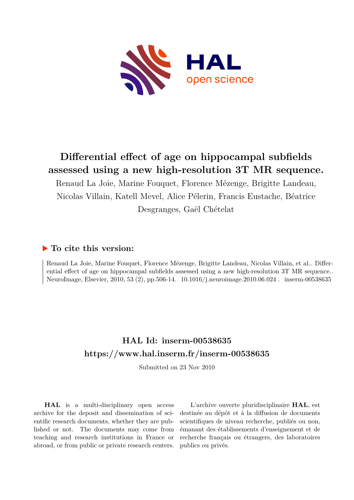

## **Differential effect of age on hippocampal subfields assessed using a new high-resolution 3T MR sequence.**

Renaud La Joie, Marine Fouquet, Florence Mézenge, Brigitte Landeau, Nicolas Villain, Katell Mevel, Alice Pélerin, Francis Eustache, Béatrice Desgranges, Gaël Chételat

## **To cite this version:**

Renaud La Joie, Marine Fouquet, Florence Mézenge, Brigitte Landeau, Nicolas Villain, et al.. Differential effect of age on hippocampal subfields assessed using a new high-resolution 3T MR sequence.. NeuroImage, Elsevier, 2010, 53 (2), pp.506-14. 10.1016/j.neuroimage.2010.06.024. inserm-00538635

## **HAL Id: inserm-00538635 <https://www.hal.inserm.fr/inserm-00538635>**

Submitted on 23 Nov 2010

**HAL** is a multi-disciplinary open access archive for the deposit and dissemination of scientific research documents, whether they are published or not. The documents may come from teaching and research institutions in France or abroad, or from public or private research centers.

L'archive ouverte pluridisciplinaire **HAL**, est destinée au dépôt et à la diffusion de documents scientifiques de niveau recherche, publiés ou non, émanant des établissements d'enseignement et de recherche français ou étrangers, des laboratoires publics ou privés.